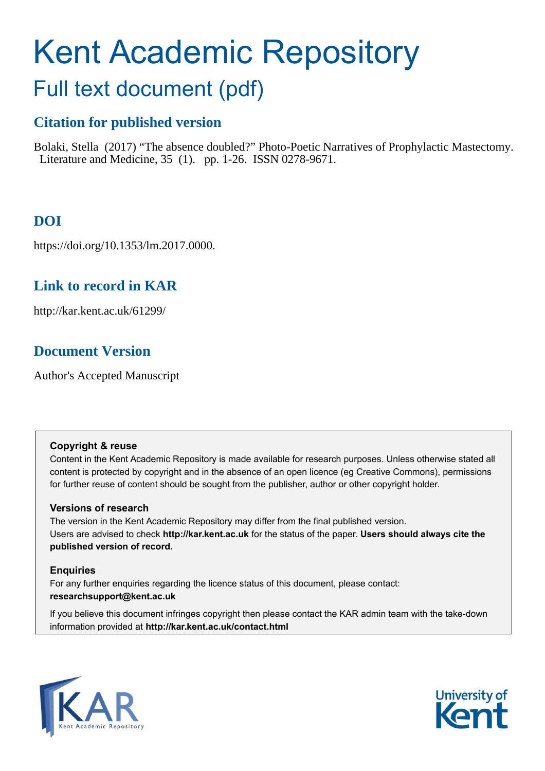# Kent Academic Repository

## Full text document (pdf)

## **Citation for published version**

Bolaki, Stella (2017) "The absence doubled?" Photo-Poetic Narratives of Prophylactic Mastectomy. Literature and Medicine, 35 (1). pp. 1-26. ISSN 0278-9671.

## **DOI**

https://doi.org/10.1353/lm.2017.0000.

## **Link to record in KAR**

http://kar.kent.ac.uk/61299/

## **Document Version**

Author's Accepted Manuscript

#### **Copyright & reuse**

Content in the Kent Academic Repository is made available for research purposes. Unless otherwise stated all content is protected by copyright and in the absence of an open licence (eg Creative Commons), permissions for further reuse of content should be sought from the publisher, author or other copyright holder.

#### **Versions of research**

The version in the Kent Academic Repository may differ from the final published version. Users are advised to check **http://kar.kent.ac.uk** for the status of the paper. **Users should always cite the published version of record.**

#### **Enquiries**

For any further enquiries regarding the licence status of this document, please contact: **researchsupport@kent.ac.uk**

If you believe this document infringes copyright then please contact the KAR admin team with the take-down information provided at **http://kar.kent.ac.uk/contact.html**



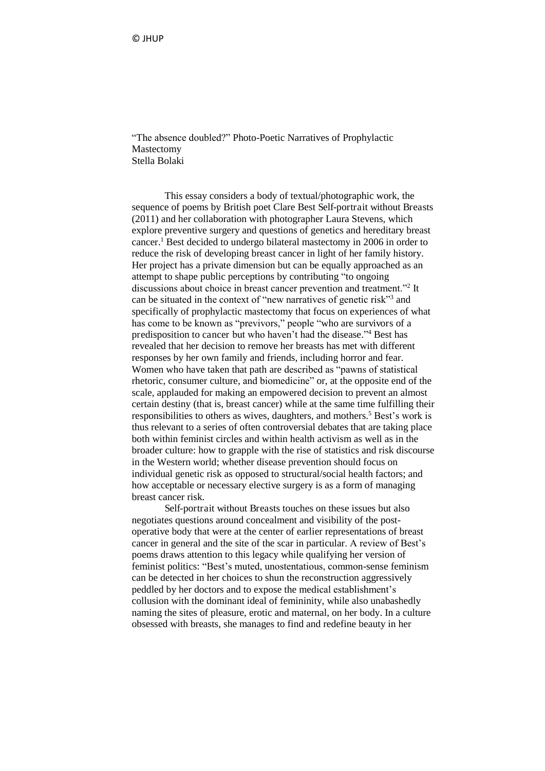"The absence doubled?" Photo-Poetic Narratives of Prophylactic Mastectomy Stella Bolaki

This essay considers a body of textual/photographic work, the sequence of poems by British poet Clare Best Self-portrait without Breasts (2011) and her collaboration with photographer Laura Stevens, which explore preventive surgery and questions of genetics and hereditary breast cancer.<sup>1</sup> Best decided to undergo bilateral mastectomy in 2006 in order to reduce the risk of developing breast cancer in light of her family history. Her project has a private dimension but can be equally approached as an attempt to shape public perceptions by contributing "to ongoing discussions about choice in breast cancer prevention and treatment."<sup>2</sup> It can be situated in the context of "new narratives of genetic risk"<sup>3</sup> and specifically of prophylactic mastectomy that focus on experiences of what has come to be known as "previvors," people "who are survivors of a predisposition to cancer but who haven't had the disease."<sup>4</sup> Best has revealed that her decision to remove her breasts has met with different responses by her own family and friends, including horror and fear. Women who have taken that path are described as "pawns of statistical rhetoric, consumer culture, and biomedicine" or, at the opposite end of the scale, applauded for making an empowered decision to prevent an almost certain destiny (that is, breast cancer) while at the same time fulfilling their responsibilities to others as wives, daughters, and mothers.<sup>5</sup> Best's work is thus relevant to a series of often controversial debates that are taking place both within feminist circles and within health activism as well as in the broader culture: how to grapple with the rise of statistics and risk discourse in the Western world; whether disease prevention should focus on individual genetic risk as opposed to structural/social health factors; and how acceptable or necessary elective surgery is as a form of managing breast cancer risk.

Self-portrait without Breasts touches on these issues but also negotiates questions around concealment and visibility of the postoperative body that were at the center of earlier representations of breast cancer in general and the site of the scar in particular. A review of Best's poems draws attention to this legacy while qualifying her version of feminist politics: "Best's muted, unostentatious, common-sense feminism can be detected in her choices to shun the reconstruction aggressively peddled by her doctors and to expose the medical establishment's collusion with the dominant ideal of femininity, while also unabashedly naming the sites of pleasure, erotic and maternal, on her body. In a culture obsessed with breasts, she manages to find and redefine beauty in her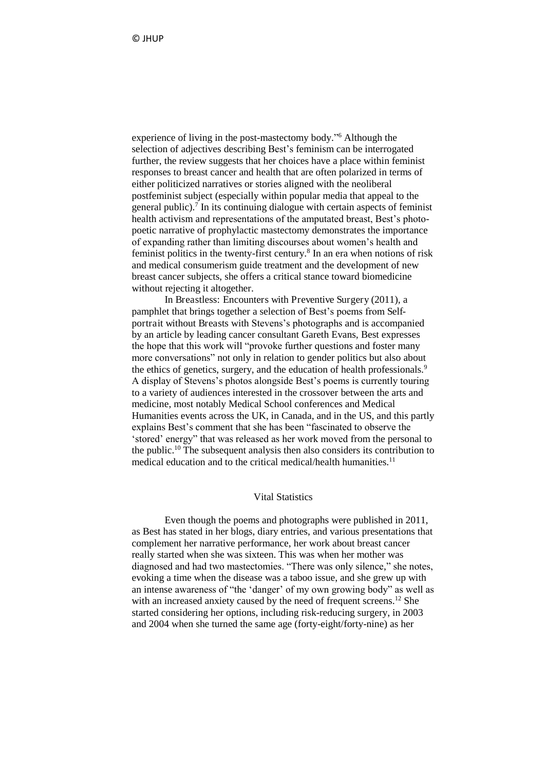experience of living in the post-mastectomy body." 6 Although the selection of adjectives describing Best's feminism can be interrogated further, the review suggests that her choices have a place within feminist responses to breast cancer and health that are often polarized in terms of either politicized narratives or stories aligned with the neoliberal postfeminist subject (especially within popular media that appeal to the general public).<sup>7</sup> In its continuing dialogue with certain aspects of feminist health activism and representations of the amputated breast. Best's photopoetic narrative of prophylactic mastectomy demonstrates the importance of expanding rather than limiting discourses about women's health and feminist politics in the twenty-first century.<sup>8</sup> In an era when notions of risk and medical consumerism guide treatment and the development of new breast cancer subjects, she offers a critical stance toward biomedicine without rejecting it altogether.

In Breastless: Encounters with Preventive Surgery (2011), a pamphlet that brings together a selection of Best's poems from Selfportrait without Breasts with Stevens's photographs and is accompanied by an article by leading cancer consultant Gareth Evans, Best expresses the hope that this work will "provoke further questions and foster many more conversations" not only in relation to gender politics but also about the ethics of genetics, surgery, and the education of health professionals.<sup>9</sup> A display of Stevens's photos alongside Best's poems is currently touring to a variety of audiences interested in the crossover between the arts and medicine, most notably Medical School conferences and Medical Humanities events across the UK, in Canada, and in the US, and this partly explains Best's comment that she has been "fascinated to observe the 'stored' energy" that was released as her work moved from the personal to the public.<sup>10</sup> The subsequent analysis then also considers its contribution to medical education and to the critical medical/health humanities. $11$ 

#### Vital Statistics

Even though the poems and photographs were published in 2011, as Best has stated in her blogs, diary entries, and various presentations that complement her narrative performance, her work about breast cancer really started when she was sixteen. This was when her mother was diagnosed and had two mastectomies. "There was only silence," she notes, evoking a time when the disease was a taboo issue, and she grew up with an intense awareness of "the 'danger' of my own growing body" as well as with an increased anxiety caused by the need of frequent screens.<sup>12</sup> She started considering her options, including risk-reducing surgery, in 2003 and 2004 when she turned the same age (forty-eight/forty-nine) as her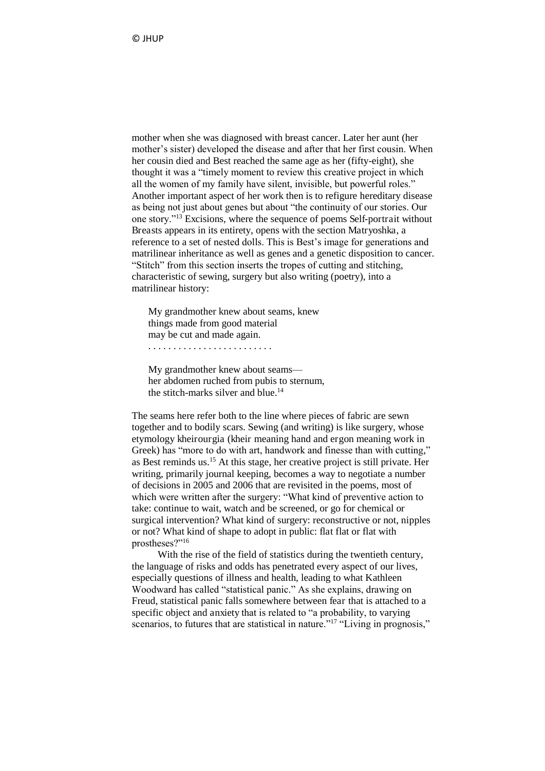mother when she was diagnosed with breast cancer. Later her aunt (her mother's sister) developed the disease and after that her first cousin. When her cousin died and Best reached the same age as her (fifty-eight), she thought it was a "timely moment to review this creative project in which all the women of my family have silent, invisible, but powerful roles." Another important aspect of her work then is to refigure hereditary disease as being not just about genes but about "the continuity of our stories. Our one story."<sup>13</sup> Excisions, where the sequence of poems Self-portrait without Breasts appears in its entirety, opens with the section Matryoshka, a reference to a set of nested dolls. This is Best's image for generations and matrilinear inheritance as well as genes and a genetic disposition to cancer. "Stitch" from this section inserts the tropes of cutting and stitching, characteristic of sewing, surgery but also writing (poetry), into a matrilinear history:

My grandmother knew about seams, knew things made from good material may be cut and made again. . . . . . . . . . . . . . . . . . . . . . . . . .

My grandmother knew about seams her abdomen ruched from pubis to sternum, the stitch-marks silver and blue.<sup>14</sup>

The seams here refer both to the line where pieces of fabric are sewn together and to bodily scars. Sewing (and writing) is like surgery, whose etymology kheirourgia (kheir meaning hand and ergon meaning work in Greek) has "more to do with art, handwork and finesse than with cutting," as Best reminds us.<sup>15</sup> At this stage, her creative project is still private. Her writing, primarily journal keeping, becomes a way to negotiate a number of decisions in 2005 and 2006 that are revisited in the poems, most of which were written after the surgery: "What kind of preventive action to take: continue to wait, watch and be screened, or go for chemical or surgical intervention? What kind of surgery: reconstructive or not, nipples or not? What kind of shape to adopt in public: flat flat or flat with prostheses?"<sup>16</sup>

With the rise of the field of statistics during the twentieth century, the language of risks and odds has penetrated every aspect of our lives, especially questions of illness and health, leading to what Kathleen Woodward has called "statistical panic." As she explains, drawing on Freud, statistical panic falls somewhere between fear that is attached to a specific object and anxiety that is related to "a probability, to varying scenarios, to futures that are statistical in nature."<sup>17</sup> "Living in prognosis."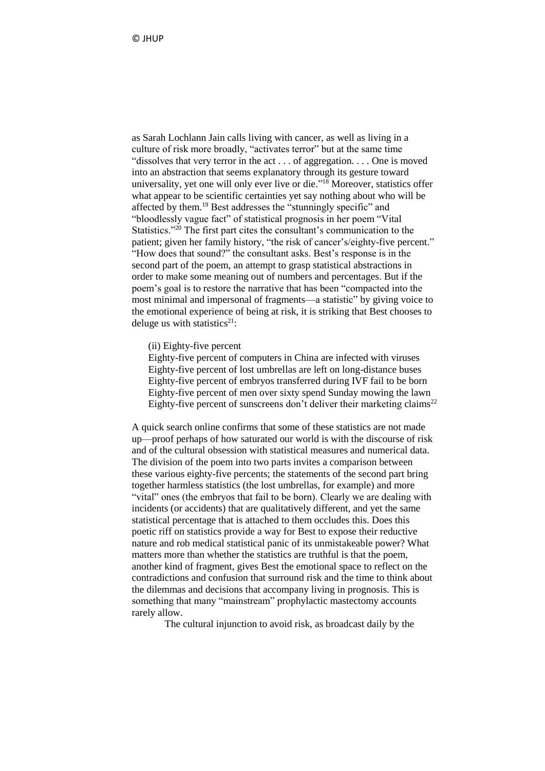as Sarah Lochlann Jain calls living with cancer, as well as living in a culture of risk more broadly, "activates terror" but at the same time "dissolves that very terror in the act . . . of aggregation. . . . One is moved into an abstraction that seems explanatory through its gesture toward universality, yet one will only ever live or die." <sup>18</sup> Moreover, statistics offer what appear to be scientific certainties yet say nothing about who will be affected by them.<sup>19</sup> Best addresses the "stunningly specific" and "bloodlessly vague fact" of statistical prognosis in her poem "Vital Statistics."<sup>20</sup> The first part cites the consultant's communication to the patient; given her family history, "the risk of cancer's/eighty-five percent." "How does that sound?" the consultant asks. Best's response is in the second part of the poem, an attempt to grasp statistical abstractions in order to make some meaning out of numbers and percentages. But if the poem's goal is to restore the narrative that has been "compacted into the most minimal and impersonal of fragments—a statistic" by giving voice to the emotional experience of being at risk, it is striking that Best chooses to deluge us with statistics $21$ :

(ii) Eighty-five percent

Eighty-five percent of computers in China are infected with viruses Eighty-five percent of lost umbrellas are left on long-distance buses Eighty-five percent of embryos transferred during IVF fail to be born Eighty-five percent of men over sixty spend Sunday mowing the lawn Eighty-five percent of sunscreens don't deliver their marketing claims<sup>22</sup>

A quick search online confirms that some of these statistics are not made up—proof perhaps of how saturated our world is with the discourse of risk and of the cultural obsession with statistical measures and numerical data. The division of the poem into two parts invites a comparison between these various eighty-five percents; the statements of the second part bring together harmless statistics (the lost umbrellas, for example) and more "vital" ones (the embryos that fail to be born). Clearly we are dealing with incidents (or accidents) that are qualitatively different, and yet the same statistical percentage that is attached to them occludes this. Does this poetic riff on statistics provide a way for Best to expose their reductive nature and rob medical statistical panic of its unmistakeable power? What matters more than whether the statistics are truthful is that the poem, another kind of fragment, gives Best the emotional space to reflect on the contradictions and confusion that surround risk and the time to think about the dilemmas and decisions that accompany living in prognosis. This is something that many "mainstream" prophylactic mastectomy accounts rarely allow.

The cultural injunction to avoid risk, as broadcast daily by the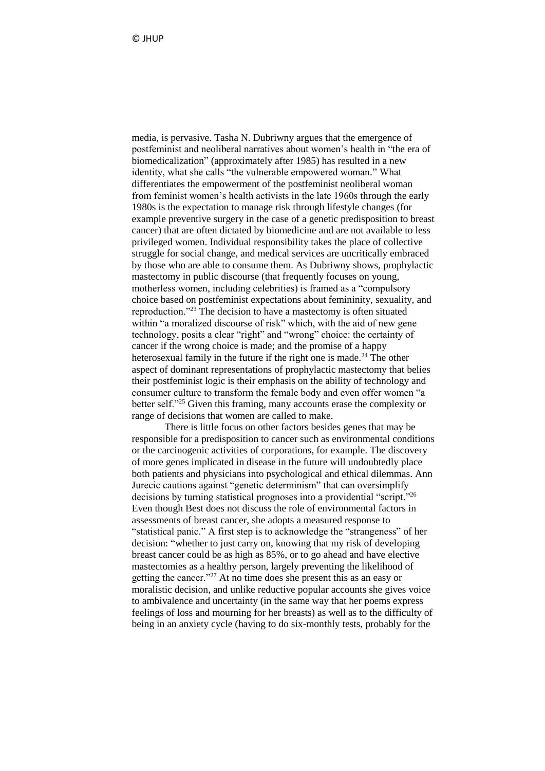media, is pervasive. Tasha N. Dubriwny argues that the emergence of postfeminist and neoliberal narratives about women's health in "the era of biomedicalization" (approximately after 1985) has resulted in a new identity, what she calls "the vulnerable empowered woman." What differentiates the empowerment of the postfeminist neoliberal woman from feminist women's health activists in the late 1960s through the early 1980s is the expectation to manage risk through lifestyle changes (for example preventive surgery in the case of a genetic predisposition to breast cancer) that are often dictated by biomedicine and are not available to less privileged women. Individual responsibility takes the place of collective struggle for social change, and medical services are uncritically embraced by those who are able to consume them. As Dubriwny shows, prophylactic mastectomy in public discourse (that frequently focuses on young, motherless women, including celebrities) is framed as a "compulsory choice based on postfeminist expectations about femininity, sexuality, and reproduction."<sup>23</sup> The decision to have a mastectomy is often situated within "a moralized discourse of risk" which, with the aid of new gene technology, posits a clear "right" and "wrong" choice: the certainty of cancer if the wrong choice is made; and the promise of a happy heterosexual family in the future if the right one is made.<sup>24</sup> The other aspect of dominant representations of prophylactic mastectomy that belies their postfeminist logic is their emphasis on the ability of technology and consumer culture to transform the female body and even offer women "a better self."<sup>25</sup> Given this framing, many accounts erase the complexity or range of decisions that women are called to make.

There is little focus on other factors besides genes that may be responsible for a predisposition to cancer such as environmental conditions or the carcinogenic activities of corporations, for example. The discovery of more genes implicated in disease in the future will undoubtedly place both patients and physicians into psychological and ethical dilemmas. Ann Jurecic cautions against "genetic determinism" that can oversimplify decisions by turning statistical prognoses into a providential "script."<sup>26</sup> Even though Best does not discuss the role of environmental factors in assessments of breast cancer, she adopts a measured response to "statistical panic." A first step is to acknowledge the "strangeness" of her decision: "whether to just carry on, knowing that my risk of developing breast cancer could be as high as 85%, or to go ahead and have elective mastectomies as a healthy person, largely preventing the likelihood of getting the cancer."<sup>27</sup> At no time does she present this as an easy or moralistic decision, and unlike reductive popular accounts she gives voice to ambivalence and uncertainty (in the same way that her poems express feelings of loss and mourning for her breasts) as well as to the difficulty of being in an anxiety cycle (having to do six-monthly tests, probably for the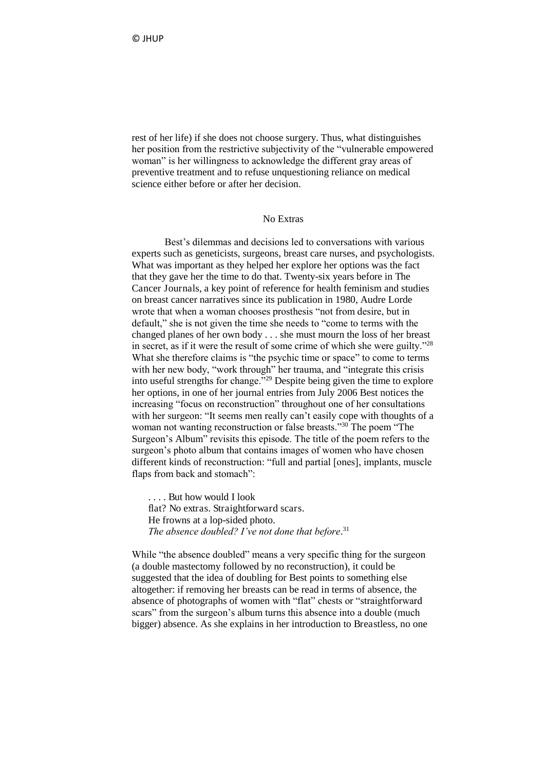rest of her life) if she does not choose surgery. Thus, what distinguishes her position from the restrictive subjectivity of the "vulnerable empowered woman" is her willingness to acknowledge the different gray areas of preventive treatment and to refuse unquestioning reliance on medical science either before or after her decision.

#### No Extras

Best's dilemmas and decisions led to conversations with various experts such as geneticists, surgeons, breast care nurses, and psychologists. What was important as they helped her explore her options was the fact that they gave her the time to do that. Twenty-six years before in The Cancer Journals, a key point of reference for health feminism and studies on breast cancer narratives since its publication in 1980, Audre Lorde wrote that when a woman chooses prosthesis "not from desire, but in default," she is not given the time she needs to "come to terms with the changed planes of her own body . . . she must mourn the loss of her breast in secret, as if it were the result of some crime of which she were guilty."<sup>28</sup> What she therefore claims is "the psychic time or space" to come to terms with her new body, "work through" her trauma, and "integrate this crisis into useful strengths for change."<sup>29</sup> Despite being given the time to explore her options, in one of her journal entries from July 2006 Best notices the increasing "focus on reconstruction" throughout one of her consultations with her surgeon: "It seems men really can't easily cope with thoughts of a woman not wanting reconstruction or false breasts."<sup>30</sup> The poem "The Surgeon's Album" revisits this episode. The title of the poem refers to the surgeon's photo album that contains images of women who have chosen different kinds of reconstruction: "full and partial [ones], implants, muscle flaps from back and stomach":

. . . . But how would I look flat? No extras. Straightforward scars. He frowns at a lop-sided photo. *The absence doubled? I've not done that before*. 31

While "the absence doubled" means a very specific thing for the surgeon (a double mastectomy followed by no reconstruction), it could be suggested that the idea of doubling for Best points to something else altogether: if removing her breasts can be read in terms of absence, the absence of photographs of women with "flat" chests or "straightforward scars" from the surgeon's album turns this absence into a double (much bigger) absence. As she explains in her introduction to Breastless, no one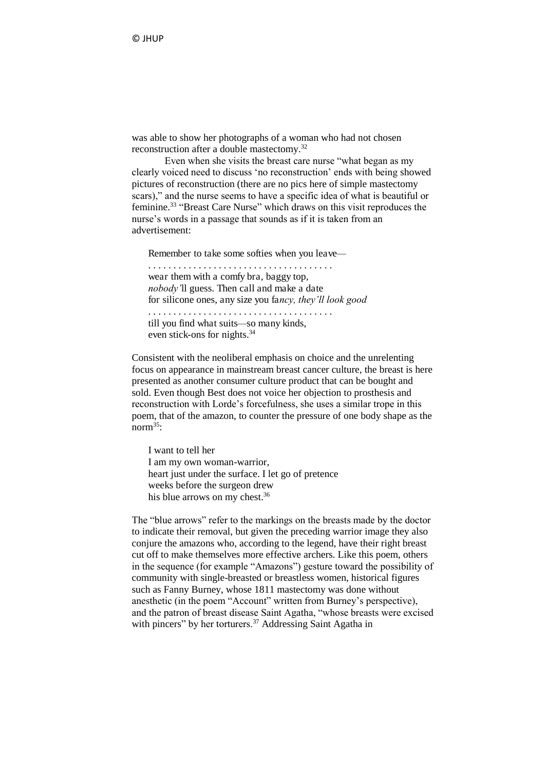was able to show her photographs of a woman who had not chosen reconstruction after a double mastectomy.<sup>32</sup>

Even when she visits the breast care nurse "what began as my clearly voiced need to discuss 'no reconstruction' ends with being showed pictures of reconstruction (there are no pics here of simple mastectomy scars)," and the nurse seems to have a specific idea of what is beautiful or feminine.<sup>33</sup> "Breast Care Nurse" which draws on this visit reproduces the nurse's words in a passage that sounds as if it is taken from an advertisement:

Remember to take some softies when you leave*—* . . . . . . . . . . . . . . . . . . . . . . . . . . . . . . . . . . . . . wear them with a comfy bra, baggy top, *nobody'*ll guess. Then call and make a date for silicone ones, any size you fa*ncy, they'll look good* . . . . . . . . . . . . . . . . . . . . . . . . . . . . . . . . . . . . . till you find what suits*—*so many kinds, even stick-ons for nights.<sup>34</sup>

Consistent with the neoliberal emphasis on choice and the unrelenting focus on appearance in mainstream breast cancer culture, the breast is here presented as another consumer culture product that can be bought and sold. Even though Best does not voice her objection to prosthesis and reconstruction with Lorde's forcefulness, she uses a similar trope in this poem, that of the amazon, to counter the pressure of one body shape as the  $norm<sup>35</sup>$ :

I want to tell her I am my own woman-warrior, heart just under the surface. I let go of pretence weeks before the surgeon drew his blue arrows on my chest.<sup>36</sup>

The "blue arrows" refer to the markings on the breasts made by the doctor to indicate their removal, but given the preceding warrior image they also conjure the amazons who, according to the legend, have their right breast cut off to make themselves more effective archers. Like this poem, others in the sequence (for example "Amazons") gesture toward the possibility of community with single-breasted or breastless women, historical figures such as Fanny Burney, whose 1811 mastectomy was done without anesthetic (in the poem "Account" written from Burney's perspective), and the patron of breast disease Saint Agatha, "whose breasts were excised with pincers" by her torturers.<sup>37</sup> Addressing Saint Agatha in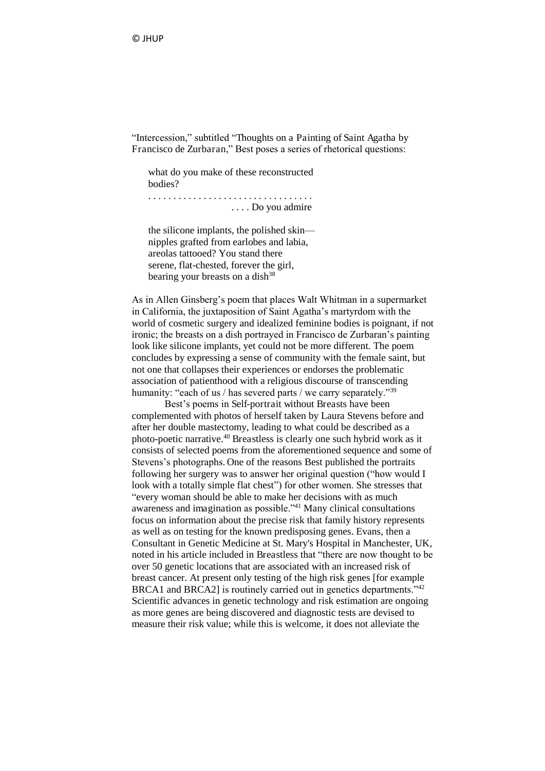"Intercession," subtitled "Thoughts on a Painting of Saint Agatha by Francisco de Zurbaran," Best poses a series of rhetorical questions:

what do you make of these reconstructed bodies?

. . . . . . . . . . . . . . . . . . . . . . . . . . . . . . . . . . . . . Do you admire

the silicone implants, the polished skin nipples grafted from earlobes and labia, areolas tattooed? You stand there serene, flat-chested, forever the girl, bearing your breasts on a dish<sup>38</sup>

As in Allen Ginsberg's poem that places Walt Whitman in a supermarket in California, the juxtaposition of Saint Agatha's martyrdom with the world of cosmetic surgery and idealized feminine bodies is poignant, if not ironic; the breasts on a dish portrayed in Francisco de Zurbaran's painting look like silicone implants, yet could not be more different. The poem concludes by expressing a sense of community with the female saint, but not one that collapses their experiences or endorses the problematic association of patienthood with a religious discourse of transcending humanity: "each of us / has severed parts / we carry separately."<sup>39</sup>

Best's poems in Self-portrait without Breasts have been complemented with photos of herself taken by Laura Stevens before and after her double mastectomy, leading to what could be described as a photo-poetic narrative.<sup>40</sup> Breastless is clearly one such hybrid work as it consists of selected poems from the aforementioned sequence and some of Stevens's photographs. One of the reasons Best published the portraits following her surgery was to answer her original question ("how would I look with a totally simple flat chest") for other women. She stresses that "every woman should be able to make her decisions with as much awareness and imagination as possible."<sup>41</sup> Many clinical consultations focus on information about the precise risk that family history represents as well as on testing for the known predisposing genes. Evans, then a Consultant in Genetic Medicine at St. Mary's Hospital in Manchester, UK, noted in his article included in Breastless that "there are now thought to be over 50 genetic locations that are associated with an increased risk of breast cancer. At present only testing of the high risk genes [for example BRCA1 and BRCA2] is routinely carried out in genetics departments.<sup>742</sup> Scientific advances in genetic technology and risk estimation are ongoing as more genes are being discovered and diagnostic tests are devised to measure their risk value; while this is welcome, it does not alleviate the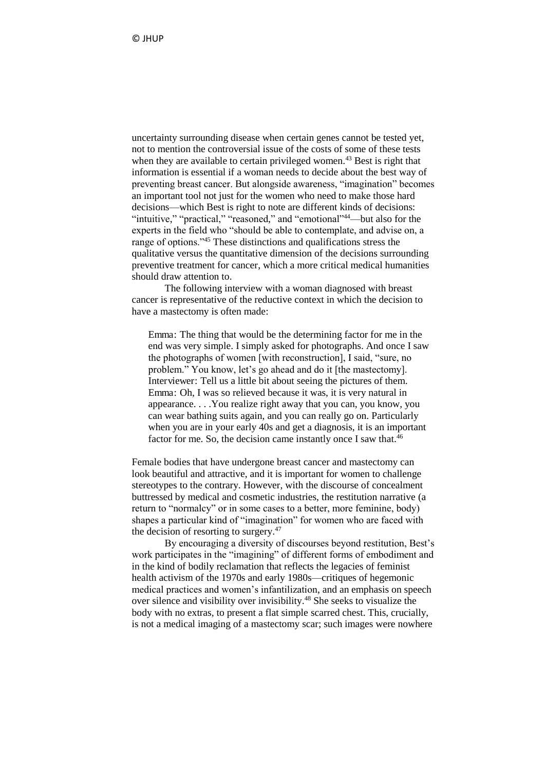uncertainty surrounding disease when certain genes cannot be tested yet, not to mention the controversial issue of the costs of some of these tests when they are available to certain privileged women.<sup>43</sup> Best is right that information is essential if a woman needs to decide about the best way of preventing breast cancer. But alongside awareness, "imagination" becomes an important tool not just for the women who need to make those hard decisions—which Best is right to note are different kinds of decisions: "intuitive," "practical," "reasoned," and "emotional"<sup>44</sup>—but also for the experts in the field who "should be able to contemplate, and advise on, a range of options."<sup>45</sup> These distinctions and qualifications stress the qualitative versus the quantitative dimension of the decisions surrounding preventive treatment for cancer, which a more critical medical humanities should draw attention to.

The following interview with a woman diagnosed with breast cancer is representative of the reductive context in which the decision to have a mastectomy is often made:

Emma: The thing that would be the determining factor for me in the end was very simple. I simply asked for photographs. And once I saw the photographs of women [with reconstruction], I said, "sure, no problem." You know, let's go ahead and do it [the mastectomy]. Interviewer: Tell us a little bit about seeing the pictures of them. Emma: Oh, I was so relieved because it was, it is very natural in appearance. . . .You realize right away that you can, you know, you can wear bathing suits again, and you can really go on. Particularly when you are in your early 40s and get a diagnosis, it is an important factor for me. So, the decision came instantly once I saw that.<sup>46</sup>

Female bodies that have undergone breast cancer and mastectomy can look beautiful and attractive, and it is important for women to challenge stereotypes to the contrary. However, with the discourse of concealment buttressed by medical and cosmetic industries, the restitution narrative (a return to "normalcy" or in some cases to a better, more feminine, body) shapes a particular kind of "imagination" for women who are faced with the decision of resorting to surgery.<sup>47</sup>

By encouraging a diversity of discourses beyond restitution, Best's work participates in the "imagining" of different forms of embodiment and in the kind of bodily reclamation that reflects the legacies of feminist health activism of the 1970s and early 1980s—critiques of hegemonic medical practices and women's infantilization, and an emphasis on speech over silence and visibility over invisibility.<sup>48</sup> She seeks to visualize the body with no extras, to present a flat simple scarred chest. This, crucially, is not a medical imaging of a mastectomy scar; such images were nowhere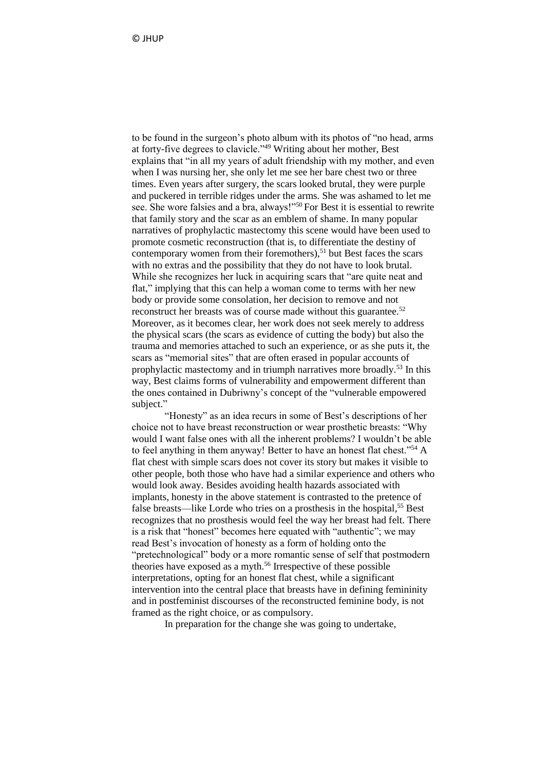to be found in the surgeon's photo album with its photos of "no head, arms at forty-five degrees to clavicle."<sup>49</sup> Writing about her mother, Best explains that "in all my years of adult friendship with my mother, and even when I was nursing her, she only let me see her bare chest two or three times. Even years after surgery, the scars looked brutal, they were purple and puckered in terrible ridges under the arms. She was ashamed to let me see. She wore falsies and a bra, always!"<sup>50</sup>For Best it is essential to rewrite that family story and the scar as an emblem of shame. In many popular narratives of prophylactic mastectomy this scene would have been used to promote cosmetic reconstruction (that is, to differentiate the destiny of contemporary women from their foremothers), $51$  but Best faces the scars with no extras and the possibility that they do not have to look brutal. While she recognizes her luck in acquiring scars that "are quite neat and flat," implying that this can help a woman come to terms with her new body or provide some consolation, her decision to remove and not reconstruct her breasts was of course made without this guarantee.<sup>52</sup> Moreover, as it becomes clear, her work does not seek merely to address the physical scars (the scars as evidence of cutting the body) but also the trauma and memories attached to such an experience, or as she puts it, the scars as "memorial sites" that are often erased in popular accounts of prophylactic mastectomy and in triumph narratives more broadly.<sup>53</sup> In this way, Best claims forms of vulnerability and empowerment different than the ones contained in Dubriwny's concept of the "vulnerable empowered subject."

"Honesty" as an idea recurs in some of Best's descriptions of her choice not to have breast reconstruction or wear prosthetic breasts: "Why would I want false ones with all the inherent problems? I wouldn't be able to feel anything in them anyway! Better to have an honest flat chest."<sup>54</sup> A flat chest with simple scars does not cover its story but makes it visible to other people, both those who have had a similar experience and others who would look away. Besides avoiding health hazards associated with implants, honesty in the above statement is contrasted to the pretence of false breasts—like Lorde who tries on a prosthesis in the hospital.<sup>55</sup> Best recognizes that no prosthesis would feel the way her breast had felt. There is a risk that "honest" becomes here equated with "authentic"; we may read Best's invocation of honesty as a form of holding onto the "pretechnological" body or a more romantic sense of self that postmodern theories have exposed as a myth.<sup>56</sup> Irrespective of these possible interpretations, opting for an honest flat chest, while a significant intervention into the central place that breasts have in defining femininity and in postfeminist discourses of the reconstructed feminine body, is not framed as the right choice, or as compulsory.

In preparation for the change she was going to undertake,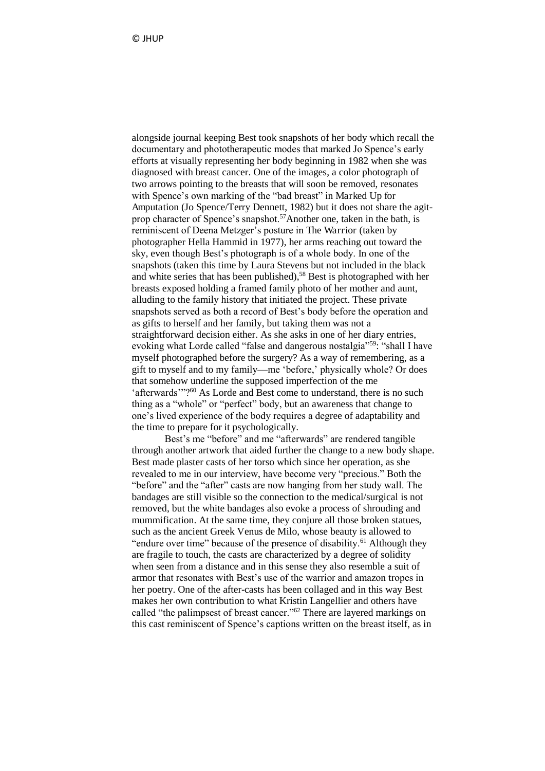alongside journal keeping Best took snapshots of her body which recall the documentary and phototherapeutic modes that marked Jo Spence's early efforts at visually representing her body beginning in 1982 when she was diagnosed with breast cancer. One of the images, a color photograph of two arrows pointing to the breasts that will soon be removed, resonates with Spence's own marking of the "bad breast" in Marked Up for Amputation (Jo Spence/Terry Dennett, 1982) but it does not share the agitprop character of Spence's snapshot.<sup>57</sup>Another one, taken in the bath, is reminiscent of Deena Metzger's posture in The Warrior (taken by photographer Hella Hammid in 1977), her arms reaching out toward the sky, even though Best's photograph is of a whole body. In one of the snapshots (taken this time by Laura Stevens but not included in the black and white series that has been published),<sup>58</sup> Best is photographed with her breasts exposed holding a framed family photo of her mother and aunt, alluding to the family history that initiated the project. These private snapshots served as both a record of Best's body before the operation and as gifts to herself and her family, but taking them was not a straightforward decision either. As she asks in one of her diary entries, evoking what Lorde called "false and dangerous nostalgia"<sup>59</sup>: "shall I have myself photographed before the surgery? As a way of remembering, as a gift to myself and to my family—me 'before,' physically whole? Or does that somehow underline the supposed imperfection of the me 'afterwards'"?<sup>60</sup> As Lorde and Best come to understand, there is no such thing as a "whole" or "perfect" body, but an awareness that change to one's lived experience of the body requires a degree of adaptability and the time to prepare for it psychologically.

Best's me "before" and me "afterwards" are rendered tangible through another artwork that aided further the change to a new body shape. Best made plaster casts of her torso which since her operation, as she revealed to me in our interview, have become very "precious." Both the "before" and the "after" casts are now hanging from her study wall. The bandages are still visible so the connection to the medical/surgical is not removed, but the white bandages also evoke a process of shrouding and mummification. At the same time, they conjure all those broken statues, such as the ancient Greek Venus de Milo, whose beauty is allowed to "endure over time" because of the presence of disability.<sup>61</sup> Although they are fragile to touch, the casts are characterized by a degree of solidity when seen from a distance and in this sense they also resemble a suit of armor that resonates with Best's use of the warrior and amazon tropes in her poetry. One of the after-casts has been collaged and in this way Best makes her own contribution to what Kristin Langellier and others have called "the palimpsest of breast cancer."<sup>62</sup> There are layered markings on this cast reminiscent of Spence's captions written on the breast itself, as in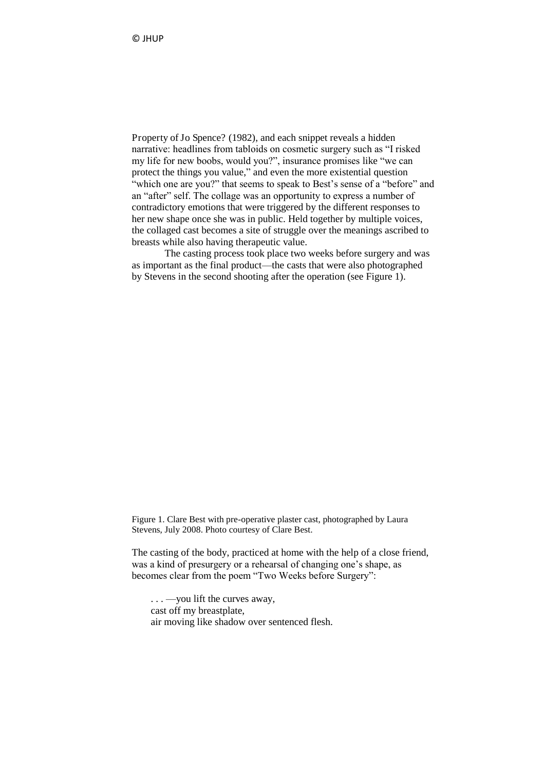Property of Jo Spence? (1982), and each snippet reveals a hidden narrative: headlines from tabloids on cosmetic surgery such as "I risked my life for new boobs, would you?", insurance promises like "we can protect the things you value," and even the more existential question "which one are you?" that seems to speak to Best's sense of a "before" and an "after" self. The collage was an opportunity to express a number of contradictory emotions that were triggered by the different responses to her new shape once she was in public. Held together by multiple voices, the collaged cast becomes a site of struggle over the meanings ascribed to breasts while also having therapeutic value.

The casting process took place two weeks before surgery and was as important as the final product—the casts that were also photographed by Stevens in the second shooting after the operation (see Figure 1).

Figure 1. Clare Best with pre-operative plaster cast, photographed by Laura Stevens, July 2008. Photo courtesy of Clare Best.

The casting of the body, practiced at home with the help of a close friend, was a kind of presurgery or a rehearsal of changing one's shape, as becomes clear from the poem "Two Weeks before Surgery":

 . . . —you lift the curves away, cast off my breastplate, air moving like shadow over sentenced flesh.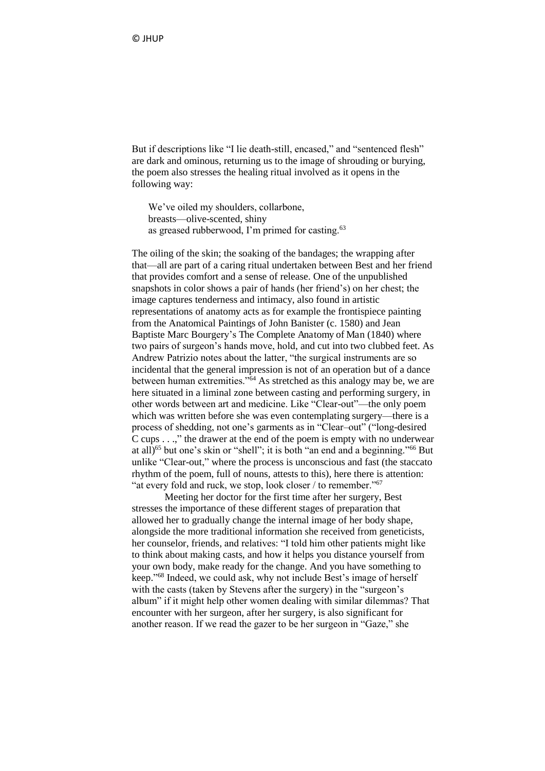But if descriptions like "I lie death-still, encased," and "sentenced flesh" are dark and ominous, returning us to the image of shrouding or burying, the poem also stresses the healing ritual involved as it opens in the following way:

We've oiled my shoulders, collarbone, breasts—olive-scented, shiny as greased rubberwood, I'm primed for casting.<sup>63</sup>

The oiling of the skin; the soaking of the bandages; the wrapping after that—all are part of a caring ritual undertaken between Best and her friend that provides comfort and a sense of release. One of the unpublished snapshots in color shows a pair of hands (her friend's) on her chest; the image captures tenderness and intimacy, also found in artistic representations of anatomy acts as for example the frontispiece painting from the Anatomical Paintings of John Banister (c. 1580) and Jean Baptiste Marc Bourgery's The Complete Anatomy of Man (1840) where two pairs of surgeon's hands move, hold, and cut into two clubbed feet. As Andrew Patrizio notes about the latter, "the surgical instruments are so incidental that the general impression is not of an operation but of a dance between human extremities."<sup>64</sup> As stretched as this analogy may be, we are here situated in a liminal zone between casting and performing surgery, in other words between art and medicine. Like "Clear-out"—the only poem which was written before she was even contemplating surgery—there is a process of shedding, not one's garments as in "Clear–out" ("long-desired C cups . . .," the drawer at the end of the poem is empty with no underwear at all)<sup>65</sup> but one's skin or "shell"; it is both "an end and a beginning."<sup>66</sup> But unlike "Clear-out," where the process is unconscious and fast (the staccato rhythm of the poem, full of nouns, attests to this), here there is attention: "at every fold and ruck, we stop, look closer / to remember."<sup>67</sup>

Meeting her doctor for the first time after her surgery, Best stresses the importance of these different stages of preparation that allowed her to gradually change the internal image of her body shape, alongside the more traditional information she received from geneticists, her counselor, friends, and relatives: "I told him other patients might like to think about making casts, and how it helps you distance yourself from your own body, make ready for the change. And you have something to keep." <sup>68</sup> Indeed, we could ask, why not include Best's image of herself with the casts (taken by Stevens after the surgery) in the "surgeon's album" if it might help other women dealing with similar dilemmas? That encounter with her surgeon, after her surgery, is also significant for another reason. If we read the gazer to be her surgeon in "Gaze," she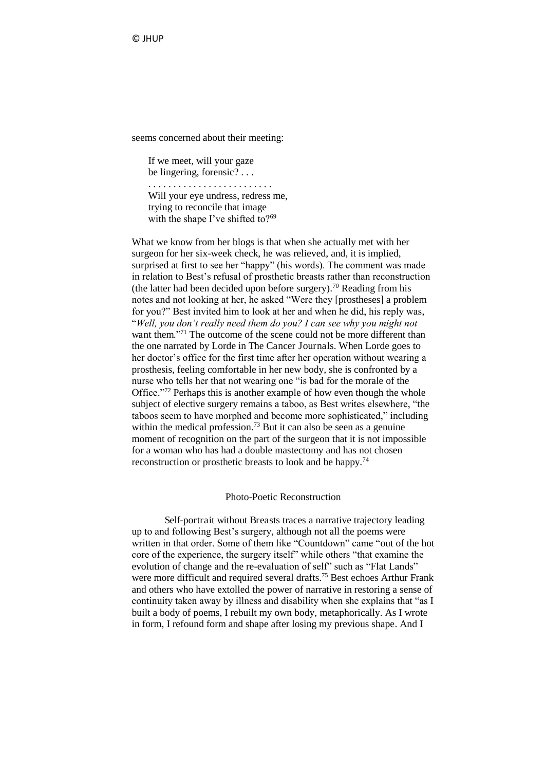seems concerned about their meeting:

If we meet, will your gaze be lingering, forensic? . . . . . . . . . . . . . . . . . . . . . . . . . . . . Will your eye undress, redress me,

trying to reconcile that image with the shape I've shifted to?<sup>69</sup>

What we know from her blogs is that when she actually met with her surgeon for her six-week check, he was relieved, and, it is implied, surprised at first to see her "happy" (his words). The comment was made in relation to Best's refusal of prosthetic breasts rather than reconstruction (the latter had been decided upon before surgery).<sup>70</sup> Reading from his notes and not looking at her, he asked "Were they [prostheses] a problem for you?" Best invited him to look at her and when he did, his reply was, "*Well, you don't really need them do you? I can see why you might not*  want them."<sup>71</sup> The outcome of the scene could not be more different than the one narrated by Lorde in The Cancer Journals. When Lorde goes to her doctor's office for the first time after her operation without wearing a prosthesis, feeling comfortable in her new body, she is confronted by a nurse who tells her that not wearing one "is bad for the morale of the Office."<sup>72</sup> Perhaps this is another example of how even though the whole subject of elective surgery remains a taboo, as Best writes elsewhere, "the taboos seem to have morphed and become more sophisticated," including within the medical profession.<sup>73</sup> But it can also be seen as a genuine moment of recognition on the part of the surgeon that it is not impossible for a woman who has had a double mastectomy and has not chosen reconstruction or prosthetic breasts to look and be happy.<sup>74</sup>

#### Photo-Poetic Reconstruction

Self-portrait without Breasts traces a narrative trajectory leading up to and following Best's surgery, although not all the poems were written in that order. Some of them like "Countdown" came "out of the hot core of the experience, the surgery itself" while others "that examine the evolution of change and the re-evaluation of self" such as "Flat Lands" were more difficult and required several drafts.<sup>75</sup> Best echoes Arthur Frank and others who have extolled the power of narrative in restoring a sense of continuity taken away by illness and disability when she explains that "as I built a body of poems, I rebuilt my own body, metaphorically. As I wrote in form, I refound form and shape after losing my previous shape. And I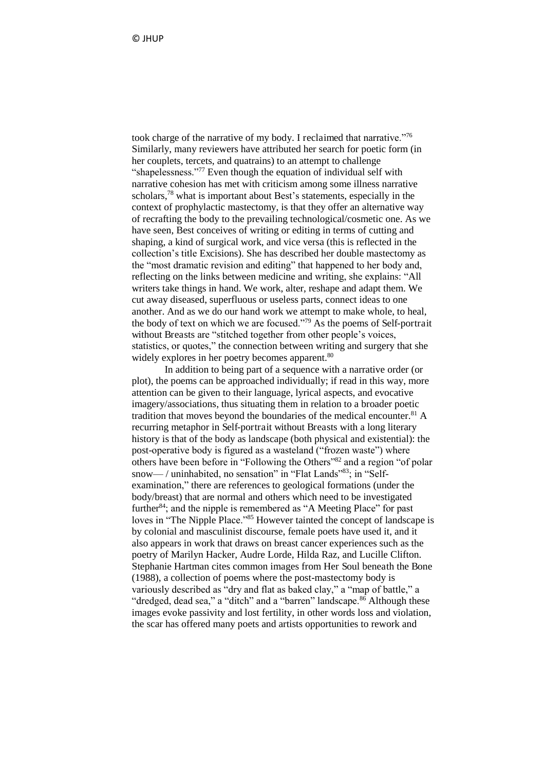took charge of the narrative of my body. I reclaimed that narrative."<sup>76</sup> Similarly, many reviewers have attributed her search for poetic form (in her couplets, tercets, and quatrains) to an attempt to challenge "shapelessness."<sup>77</sup> Even though the equation of individual self with narrative cohesion has met with criticism among some illness narrative scholars,<sup>78</sup> what is important about Best's statements, especially in the context of prophylactic mastectomy, is that they offer an alternative way of recrafting the body to the prevailing technological/cosmetic one. As we have seen, Best conceives of writing or editing in terms of cutting and shaping, a kind of surgical work, and vice versa (this is reflected in the collection's title Excisions). She has described her double mastectomy as the "most dramatic revision and editing" that happened to her body and, reflecting on the links between medicine and writing, she explains: "All writers take things in hand. We work, alter, reshape and adapt them. We cut away diseased, superfluous or useless parts, connect ideas to one another. And as we do our hand work we attempt to make whole, to heal, the body of text on which we are focused."<sup>79</sup> As the poems of Self-portrait without Breasts are "stitched together from other people's voices, statistics, or quotes," the connection between writing and surgery that she widely explores in her poetry becomes apparent.<sup>80</sup>

In addition to being part of a sequence with a narrative order (or plot), the poems can be approached individually; if read in this way, more attention can be given to their language, lyrical aspects, and evocative imagery/associations, thus situating them in relation to a broader poetic tradition that moves beyond the boundaries of the medical encounter.<sup>81</sup> A recurring metaphor in Self-portrait without Breasts with a long literary history is that of the body as landscape (both physical and existential): the post-operative body is figured as a wasteland ("frozen waste") where others have been before in "Following the Others"<sup>82</sup> and a region "of polar snow— / uninhabited, no sensation" in "Flat Lands"<sup>83</sup>; in "Selfexamination," there are references to geological formations (under the body/breast) that are normal and others which need to be investigated further<sup>84</sup>; and the nipple is remembered as "A Meeting Place" for past loves in "The Nipple Place."<sup>85</sup> However tainted the concept of landscape is by colonial and masculinist discourse, female poets have used it, and it also appears in work that draws on breast cancer experiences such as the poetry of Marilyn Hacker, Audre Lorde, Hilda Raz, and Lucille Clifton. Stephanie Hartman cites common images from Her Soul beneath the Bone (1988), a collection of poems where the post-mastectomy body is variously described as "dry and flat as baked clay," a "map of battle," a "dredged, dead sea," a "ditch" and a "barren" landscape. $86$  Although these images evoke passivity and lost fertility, in other words loss and violation, the scar has offered many poets and artists opportunities to rework and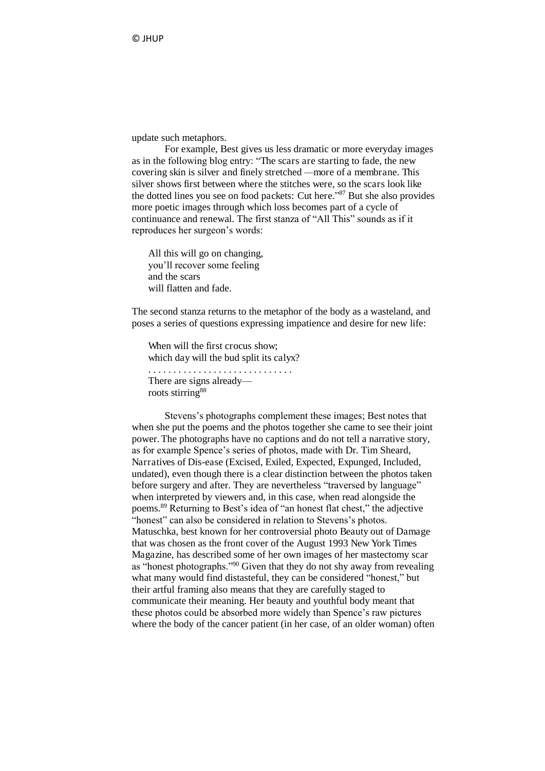update such metaphors.

For example, Best gives us less dramatic or more everyday images as in the following blog entry: "The scars are starting to fade, the new covering skin is silver and finely stretched *—*more of a membrane. This silver shows first between where the stitches were, so the scars look like the dotted lines you see on food packets: Cut here." <sup>87</sup> But she also provides more poetic images through which loss becomes part of a cycle of continuance and renewal. The first stanza of "All This" sounds as if it reproduces her surgeon's words:

All this will go on changing, you'll recover some feeling and the scars will flatten and fade.

The second stanza returns to the metaphor of the body as a wasteland, and poses a series of questions expressing impatience and desire for new life:

When will the first crocus show; which day will the bud split its calyx? . . . . . . . . . . . . . . . . . . . . . . . . . . . . . There are signs already roots stirring<sup>88</sup>

Stevens's photographs complement these images; Best notes that when she put the poems and the photos together she came to see their joint power. The photographs have no captions and do not tell a narrative story, as for example Spence's series of photos, made with Dr. Tim Sheard, Narratives of Dis-ease (Excised, Exiled, Expected, Expunged, Included, undated), even though there is a clear distinction between the photos taken before surgery and after. They are nevertheless "traversed by language" when interpreted by viewers and, in this case, when read alongside the poems.<sup>89</sup> Returning to Best's idea of "an honest flat chest," the adjective "honest" can also be considered in relation to Stevens's photos. Matuschka, best known for her controversial photo Beauty out of Damage that was chosen as the front cover of the August 1993 New York Times Magazine, has described some of her own images of her mastectomy scar as "honest photographs."<sup>90</sup> Given that they do not shy away from revealing what many would find distasteful, they can be considered "honest," but their artful framing also means that they are carefully staged to communicate their meaning. Her beauty and youthful body meant that these photos could be absorbed more widely than Spence's raw pictures where the body of the cancer patient (in her case, of an older woman) often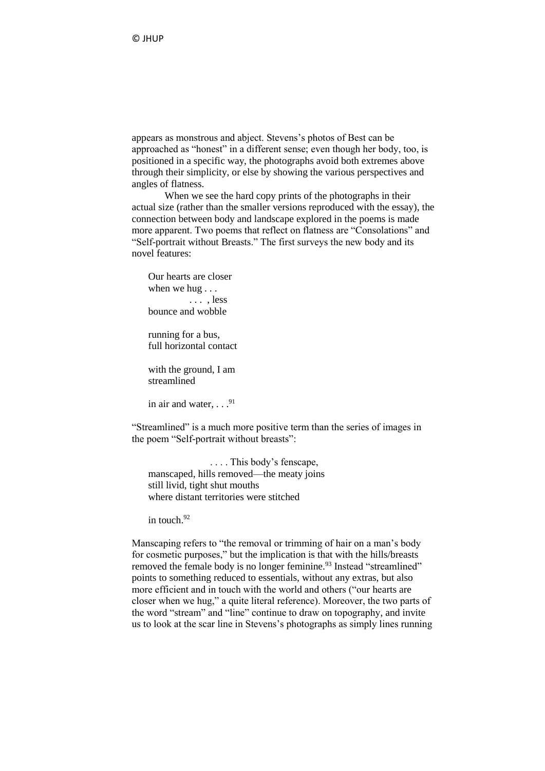appears as monstrous and abject. Stevens's photos of Best can be approached as "honest" in a different sense; even though her body, too, is positioned in a specific way, the photographs avoid both extremes above through their simplicity, or else by showing the various perspectives and angles of flatness.

When we see the hard copy prints of the photographs in their actual size (rather than the smaller versions reproduced with the essay), the connection between body and landscape explored in the poems is made more apparent. Two poems that reflect on flatness are "Consolations" and "Self-portrait without Breasts." The first surveys the new body and its novel features:

Our hearts are closer when we hug... . . . , less bounce and wobble

running for a bus, full horizontal contact

with the ground, I am streamlined

in air and water,  $\ldots$ <sup>91</sup>

"Streamlined" is a much more positive term than the series of images in the poem "Self-portrait without breasts":

. . . . This body's fenscape, manscaped, hills removed—the meaty joins still livid, tight shut mouths where distant territories were stitched

in touch  $92$ 

Manscaping refers to "the removal or trimming of hair on a man's body for cosmetic purposes," but the implication is that with the hills/breasts removed the female body is no longer feminine.<sup>93</sup> Instead "streamlined" points to something reduced to essentials, without any extras, but also more efficient and in touch with the world and others ("our hearts are closer when we hug," a quite literal reference). Moreover, the two parts of the word "stream" and "line" continue to draw on topography, and invite us to look at the scar line in Stevens's photographs as simply lines running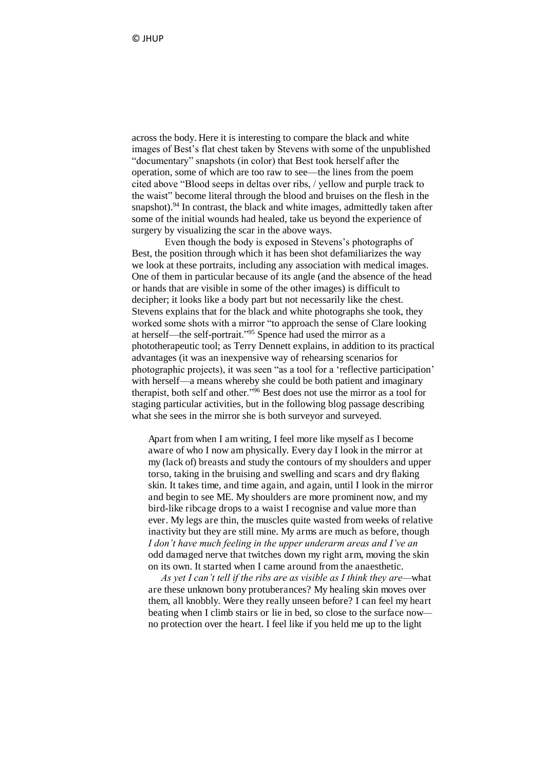across the body. Here it is interesting to compare the black and white images of Best's flat chest taken by Stevens with some of the unpublished "documentary" snapshots (in color) that Best took herself after the operation, some of which are too raw to see—the lines from the poem cited above "Blood seeps in deltas over ribs, / yellow and purple track to the waist" become literal through the blood and bruises on the flesh in the snapshot).<sup>94</sup> In contrast, the black and white images, admittedly taken after some of the initial wounds had healed, take us beyond the experience of surgery by visualizing the scar in the above ways.

Even though the body is exposed in Stevens's photographs of Best, the position through which it has been shot defamiliarizes the way we look at these portraits, including any association with medical images. One of them in particular because of its angle (and the absence of the head or hands that are visible in some of the other images) is difficult to decipher; it looks like a body part but not necessarily like the chest. Stevens explains that for the black and white photographs she took, they worked some shots with a mirror "to approach the sense of Clare looking at herself—the self-portrait."<sup>95</sup> Spence had used the mirror as a phototherapeutic tool; as Terry Dennett explains, in addition to its practical advantages (it was an inexpensive way of rehearsing scenarios for photographic projects), it was seen "as a tool for a 'reflective participation' with herself—a means whereby she could be both patient and imaginary therapist, both self and other."<sup>96</sup> Best does not use the mirror as a tool for staging particular activities, but in the following blog passage describing what she sees in the mirror she is both surveyor and surveyed.

Apart from when I am writing, I feel more like myself as I become aware of who I now am physically. Every day I look in the mirror at my (lack of) breasts and study the contours of my shoulders and upper torso, taking in the bruising and swelling and scars and dry flaking skin. It takes time, and time again, and again, until I look in the mirror and begin to see ME. My shoulders are more prominent now, and my bird-like ribcage drops to a waist I recognise and value more than ever. My legs are thin, the muscles quite wasted from weeks of relative inactivity but they are still mine. My arms are much as before, though *I don't have much feeling in the upper underarm areas and I've an*  odd damaged nerve that twitches down my right arm, moving the skin on its own. It started when I came around from the anaesthetic.

*As yet I can't tell if the ribs are as visible as I think they are—*what are these unknown bony protuberances? My healing skin moves over them, all knobbly. Were they really unseen before? I can feel my heart beating when I climb stairs or lie in bed, so close to the surface now no protection over the heart. I feel like if you held me up to the light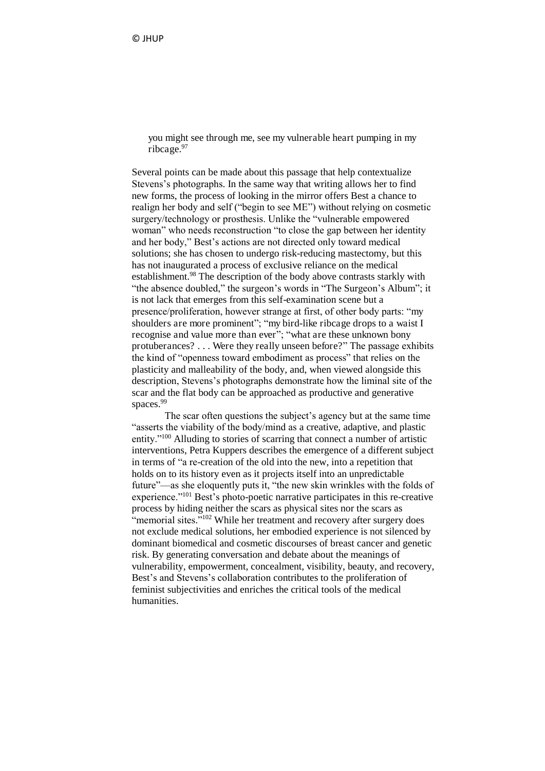you might see through me, see my vulnerable heart pumping in my ribcage.<sup>97</sup>

Several points can be made about this passage that help contextualize Stevens's photographs. In the same way that writing allows her to find new forms, the process of looking in the mirror offers Best a chance to realign her body and self ("begin to see ME") without relying on cosmetic surgery/technology or prosthesis. Unlike the "vulnerable empowered woman" who needs reconstruction "to close the gap between her identity and her body," Best's actions are not directed only toward medical solutions; she has chosen to undergo risk-reducing mastectomy, but this has not inaugurated a process of exclusive reliance on the medical establishment.<sup>98</sup> The description of the body above contrasts starkly with "the absence doubled," the surgeon's words in "The Surgeon's Album"; it is not lack that emerges from this self-examination scene but a presence/proliferation, however strange at first, of other body parts: "my shoulders are more prominent"; "my bird-like ribcage drops to a waist I recognise and value more than ever"; "what are these unknown bony protuberances? . . . Were they really unseen before?" The passage exhibits the kind of "openness toward embodiment as process" that relies on the plasticity and malleability of the body, and, when viewed alongside this description, Stevens's photographs demonstrate how the liminal site of the scar and the flat body can be approached as productive and generative spaces.<sup>99</sup>

The scar often questions the subject's agency but at the same time "asserts the viability of the body/mind as a creative, adaptive, and plastic entity."<sup>100</sup> Alluding to stories of scarring that connect a number of artistic interventions, Petra Kuppers describes the emergence of a different subject in terms of "a re-creation of the old into the new, into a repetition that holds on to its history even as it projects itself into an unpredictable future"—as she eloquently puts it, "the new skin wrinkles with the folds of experience."<sup>101</sup> Best's photo-poetic narrative participates in this re-creative process by hiding neither the scars as physical sites nor the scars as "memorial sites."<sup>102</sup> While her treatment and recovery after surgery does not exclude medical solutions, her embodied experience is not silenced by dominant biomedical and cosmetic discourses of breast cancer and genetic risk. By generating conversation and debate about the meanings of vulnerability, empowerment, concealment, visibility, beauty, and recovery, Best's and Stevens's collaboration contributes to the proliferation of feminist subjectivities and enriches the critical tools of the medical humanities.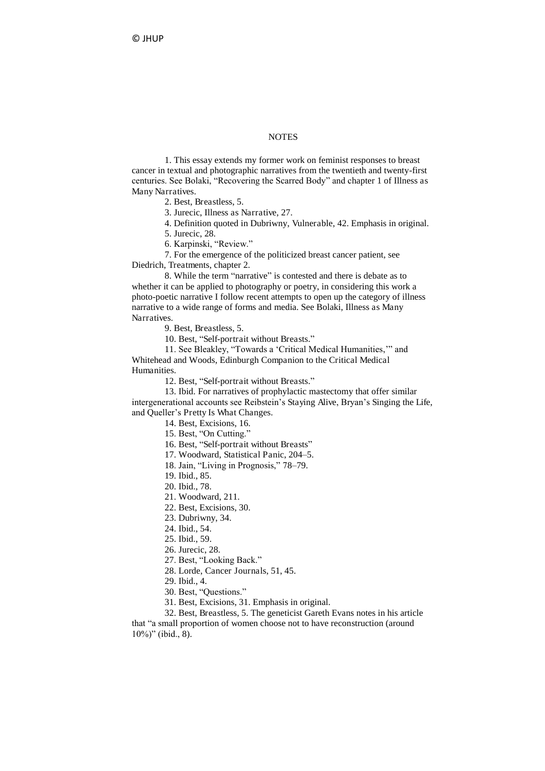#### **NOTES**

1. This essay extends my former work on feminist responses to breast cancer in textual and photographic narratives from the twentieth and twenty-first centuries. See Bolaki, "Recovering the Scarred Body" and chapter 1 of Illness as Many Narratives.

2. Best, Breastless, 5.

3. Jurecic, Illness as Narrative, 27.

4. Definition quoted in Dubriwny, Vulnerable, 42. Emphasis in original.

5. Jurecic, 28.

6. Karpinski, "Review."

7. For the emergence of the politicized breast cancer patient, see Diedrich, Treatments, chapter 2.

8. While the term "narrative" is contested and there is debate as to whether it can be applied to photography or poetry, in considering this work a photo-poetic narrative I follow recent attempts to open up the category of illness narrative to a wide range of forms and media. See Bolaki, Illness as Many Narratives.

9. Best, Breastless, 5.

10. Best, "Self-portrait without Breasts."

11. See Bleakley, "Towards a 'Critical Medical Humanities,'" and Whitehead and Woods, Edinburgh Companion to the Critical Medical Humanities.

12. Best, "Self-portrait without Breasts."

13. Ibid. For narratives of prophylactic mastectomy that offer similar intergenerational accounts see Reibstein's Staying Alive, Bryan's Singing the Life, and Queller's Pretty Is What Changes.

14. Best, Excisions, 16.

15. Best, "On Cutting."

16. Best, "Self-portrait without Breasts"

17. Woodward, Statistical Panic, 204–5.

18. Jain, "Living in Prognosis," 78–79.

19. Ibid., 85.

20. Ibid., 78.

21. Woodward, 211.

22. Best, Excisions, 30.

23. Dubriwny, 34.

24. Ibid., 54.

25. Ibid., 59.

26. Jurecic, 28.

27. Best, "Looking Back."

28. Lorde, Cancer Journals, 51, 45.

29. Ibid., 4.

30. Best, "Questions."

31. Best, Excisions, 31. Emphasis in original.

32. Best, Breastless, 5. The geneticist Gareth Evans notes in his article that "a small proportion of women choose not to have reconstruction (around 10%)" (ibid., 8).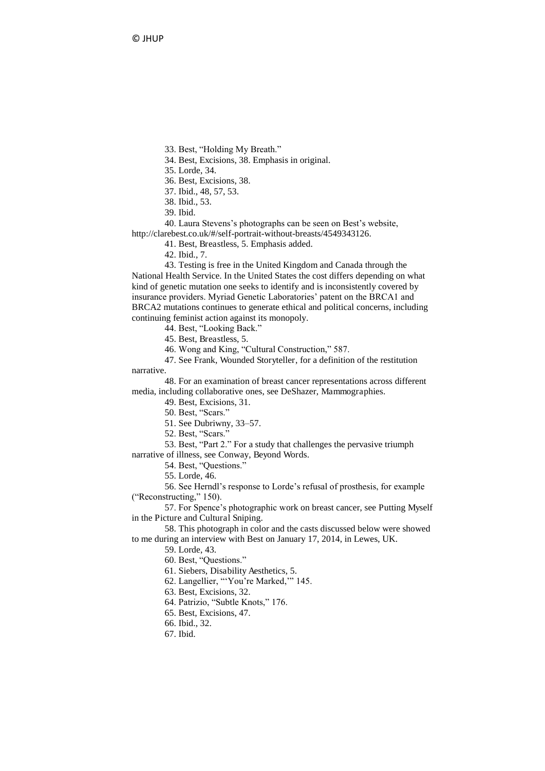33. Best, "Holding My Breath."

34. Best, Excisions, 38. Emphasis in original.

35. Lorde, 34.

36. Best, Excisions, 38.

37. Ibid., 48, 57, 53.

38. Ibid., 53.

39. Ibid.

40. Laura Stevens's photographs can be seen on Best's website, http://clarebest.co.uk/#/self-portrait-without-breasts/4549343126.

41. Best, Breastless, 5. Emphasis added.

42. Ibid., 7.

43. Testing is free in the United Kingdom and Canada through the National Health Service. In the United States the cost differs depending on what kind of genetic mutation one seeks to identify and is inconsistently covered by insurance providers. Myriad Genetic Laboratories' patent on the BRCA1 and BRCA2 mutations continues to generate ethical and political concerns, including continuing feminist action against its monopoly.

44. Best, "Looking Back."

45. Best, Breastless, 5.

46. Wong and King, "Cultural Construction," 587.

47. See Frank, Wounded Storyteller, for a definition of the restitution narrative.

48. For an examination of breast cancer representations across different media, including collaborative ones, see DeShazer, Mammographies.

49. Best, Excisions, 31.

50. Best, "Scars."

51. See Dubriwny, 33–57.

52. Best, "Scars."

53. Best, "Part 2." For a study that challenges the pervasive triumph narrative of illness, see Conway, Beyond Words.

54. Best, "Questions."

55. Lorde, 46.

56. See Herndl's response to Lorde's refusal of prosthesis, for example ("Reconstructing," 150).

57. For Spence's photographic work on breast cancer, see Putting Myself in the Picture and Cultural Sniping.

58. This photograph in color and the casts discussed below were showed to me during an interview with Best on January 17, 2014, in Lewes, UK.

59. Lorde, 43.

60. Best, "Questions."

61. Siebers, Disability Aesthetics, 5.

62. Langellier, "'You're Marked,'" 145.

63. Best, Excisions, 32.

64. Patrizio, "Subtle Knots," 176.

65. Best, Excisions, 47.

66. Ibid., 32.

67. Ibid.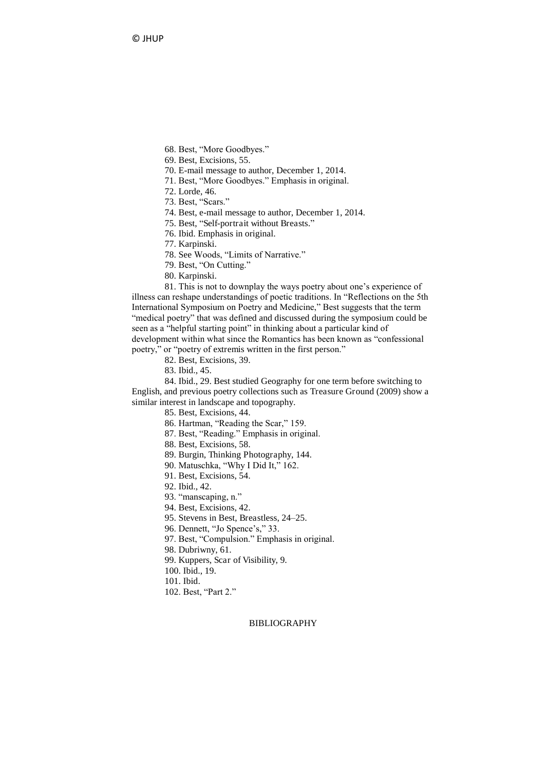68. Best, "More Goodbyes."

69. Best, Excisions, 55.

- 70. E-mail message to author, December 1, 2014.
- 71. Best, "More Goodbyes." Emphasis in original.
- 72. Lorde, 46.
- 73. Best, "Scars."
- 74. Best, e-mail message to author, December 1, 2014.
- 75. Best, "Self-portrait without Breasts."
- 76. Ibid. Emphasis in original.
- 77. Karpinski.
- 78. See Woods, "Limits of Narrative."
- 79. Best, "On Cutting."
- 80. Karpinski.

81. This is not to downplay the ways poetry about one's experience of illness can reshape understandings of poetic traditions. In "Reflections on the 5th International Symposium on Poetry and Medicine," Best suggests that the term "medical poetry" that was defined and discussed during the symposium could be seen as a "helpful starting point" in thinking about a particular kind of development within what since the Romantics has been known as "confessional poetry," or "poetry of extremis written in the first person."

82. Best, Excisions, 39.

83. Ibid., 45.

84. Ibid., 29. Best studied Geography for one term before switching to

English, and previous poetry collections such as Treasure Ground (2009) show a similar interest in landscape and topography.

85. Best, Excisions, 44.

86. Hartman, "Reading the Scar," 159.

87. Best, "Reading." Emphasis in original.

88. Best, Excisions, 58.

89. Burgin, Thinking Photography, 144.

90. Matuschka, "Why I Did It," 162.

- 91. Best, Excisions, 54.
- 92. Ibid., 42.

93. "manscaping, n."

94. Best, Excisions, 42.

95. Stevens in Best, Breastless, 24–25.

96. Dennett, "Jo Spence's," 33.

97. Best, "Compulsion." Emphasis in original.

98. Dubriwny, 61.

99. Kuppers, Scar of Visibility, 9.

- 100. Ibid., 19.
- 101. Ibid.
- 102. Best, "Part 2."

#### BIBLIOGRAPHY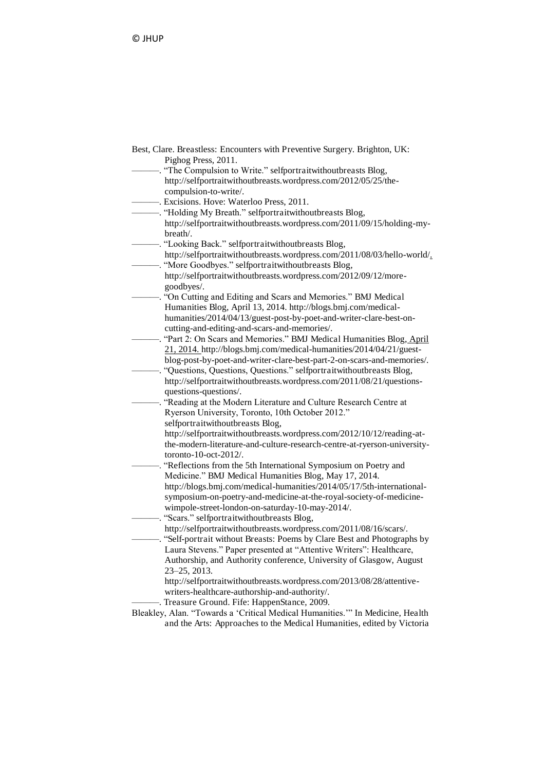- Best, Clare. Breastless: Encounters with Preventive Surgery. Brighton, UK: Pighog Press, 2011. "The Compulsion to Write." selfportraitwithoutbreasts Blog, http://selfportraitwithoutbreasts.wordpress.com/2012/05/25/thecompulsion-to-write/. Excisions. Hove: Waterloo Press, 2011. -. "Holding My Breath." selfportraitwithoutbreasts Blog, http://selfportraitwithoutbreasts.wordpress.com/2011/09/15/holding-mybreath/. -. "Looking Back." selfportraitwithoutbreasts Blog, http://selfportraitwithoutbreasts.wordpress.com/2011/08/03/hello-world/. "More Goodbyes." selfportraitwithoutbreasts Blog, http://selfportraitwithoutbreasts.wordpress.com/2012/09/12/moregoodbyes/. "On Cutting and Editing and Scars and Memories." BMJ Medical Humanities Blog, April 13, 2014. http://blogs.bmj.com/medicalhumanities/2014/04/13/guest-post-by-poet-and-writer-clare-best-oncutting-and-editing-and-scars-and-memories/. "Part 2: On Scars and Memories." BMJ Medical Humanities Blog, April 21, 2014. http://blogs.bmj.com/medical-humanities/2014/04/21/guestblog-post-by-poet-and-writer-clare-best-part-2-on-scars-and-memories/. "Questions, Questions, Questions." selfportraitwithoutbreasts Blog, http://selfportraitwithoutbreasts.wordpress.com/2011/08/21/questionsquestions-questions/. "Reading at the Modern Literature and Culture Research Centre at Ryerson University, Toronto, 10th October 2012." selfportraitwithoutbreasts Blog, http://selfportraitwithoutbreasts.wordpress.com/2012/10/12/reading-atthe-modern-literature-and-culture-research-centre-at-ryerson-universitytoronto-10-oct-2012/. ———. "Reflections from the 5th International Symposium on Poetry and Medicine." BMJ Medical Humanities Blog, May 17, 2014. http://blogs.bmj.com/medical-humanities/2014/05/17/5th-internationalsymposium-on-poetry-and-medicine-at-the-royal-society-of-medicinewimpole-street-london-on-saturday-10-may-2014/. "Scars." selfportraitwithoutbreasts Blog, http://selfportraitwithoutbreasts.wordpress.com/2011/08/16/scars/. "Self-portrait without Breasts: Poems by Clare Best and Photographs by Laura Stevens." Paper presented at "Attentive Writers": Healthcare, Authorship, and Authority conference, University of Glasgow, August 23–25, 2013. http://selfportraitwithoutbreasts.wordpress.com/2013/08/28/attentivewriters-healthcare-authorship-and-authority/. -. Treasure Ground. Fife: HappenStance, 2009.
- Bleakley, Alan. "Towards a 'Critical Medical Humanities.'" In Medicine, Health and the Arts: Approaches to the Medical Humanities, edited by Victoria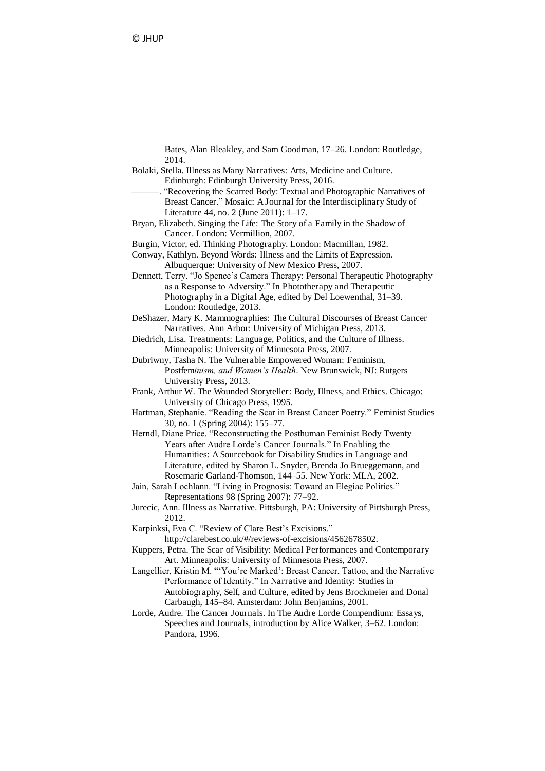Bates, Alan Bleakley, and Sam Goodman, 17–26. London: Routledge, 2014.

- Bolaki, Stella. Illness as Many Narratives: Arts, Medicine and Culture. Edinburgh: Edinburgh University Press, 2016.
- "Recovering the Scarred Body: Textual and Photographic Narratives of Breast Cancer." Mosaic: A Journal for the Interdisciplinary Study of Literature 44, no. 2 (June 2011): 1–17.
- Bryan, Elizabeth. Singing the Life: The Story of a Family in the Shadow of Cancer. London: Vermillion, 2007.
- Burgin, Victor, ed. Thinking Photography. London: Macmillan, 1982.

Conway, Kathlyn. Beyond Words: Illness and the Limits of Expression. Albuquerque: University of New Mexico Press, 2007.

- Dennett, Terry. "Jo Spence's Camera Therapy: Personal Therapeutic Photography as a Response to Adversity." In Phototherapy and Therapeutic Photography in a Digital Age, edited by Del Loewenthal, 31–39. London: Routledge, 2013.
- DeShazer, Mary K. Mammographies: The Cultural Discourses of Breast Cancer Narratives. Ann Arbor: University of Michigan Press, 2013.
- Diedrich, Lisa. Treatments: Language, Politics, and the Culture of Illness. Minneapolis: University of Minnesota Press, 2007.
- Dubriwny, Tasha N. The Vulnerable Empowered Woman: Feminism, Postfem*inism, and Women's Health*. New Brunswick, NJ: Rutgers University Press, 2013.
- Frank, Arthur W. The Wounded Storyteller: Body, Illness, and Ethics. Chicago: University of Chicago Press, 1995.
- Hartman, Stephanie. "Reading the Scar in Breast Cancer Poetry." Feminist Studies 30, no. 1 (Spring 2004): 155–77.
- Herndl, Diane Price. "Reconstructing the Posthuman Feminist Body Twenty Years after Audre Lorde's Cancer Journals." In Enabling the Humanities: A Sourcebook for Disability Studies in Language and Literature, edited by Sharon L. Snyder, Brenda Jo Brueggemann, and Rosemarie Garland-Thomson, 144–55. New York: MLA, 2002.
- Jain, Sarah Lochlann. "Living in Prognosis: Toward an Elegiac Politics." Representations 98 (Spring 2007): 77–92.
- Jurecic, Ann. Illness as Narrative. Pittsburgh, PA: University of Pittsburgh Press, 2012.
- Karpinksi, Eva C. "Review of Clare Best's Excisions." http://clarebest.co.uk/#/reviews-of-excisions/4562678502.
- Kuppers, Petra. The Scar of Visibility: Medical Performances and Contemporary Art. Minneapolis: University of Minnesota Press, 2007.
- Langellier, Kristin M. "'You're Marked': Breast Cancer, Tattoo, and the Narrative Performance of Identity." In Narrative and Identity: Studies in Autobiography, Self, and Culture, edited by Jens Brockmeier and Donal Carbaugh, 145–84. Amsterdam: John Benjamins, 2001.
- Lorde, Audre. The Cancer Journals. In The Audre Lorde Compendium: Essays, Speeches and Journals, introduction by Alice Walker, 3–62. London: Pandora, 1996.